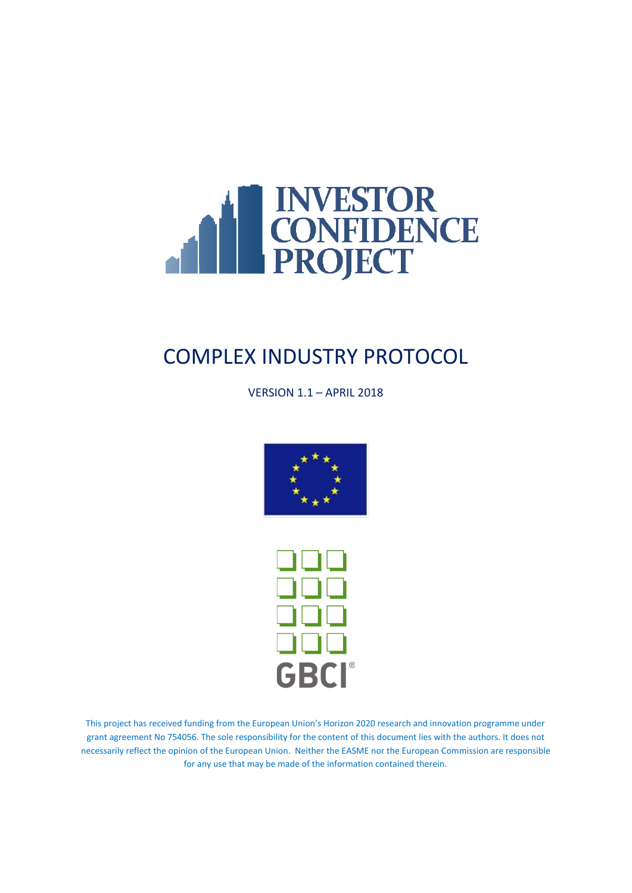

# COMPLEX INDUSTRY PROTOCOL

VERSION 1.1 – APRIL 2018





This project has received funding from the European Union's Horizon 2020 research and innovation programme under grant agreement No 754056. The sole responsibility for the content of this document lies with the authors. It does not necessarily reflect the opinion of the European Union. Neither the EASME nor the European Commission are responsible for any use that may be made of the information contained therein.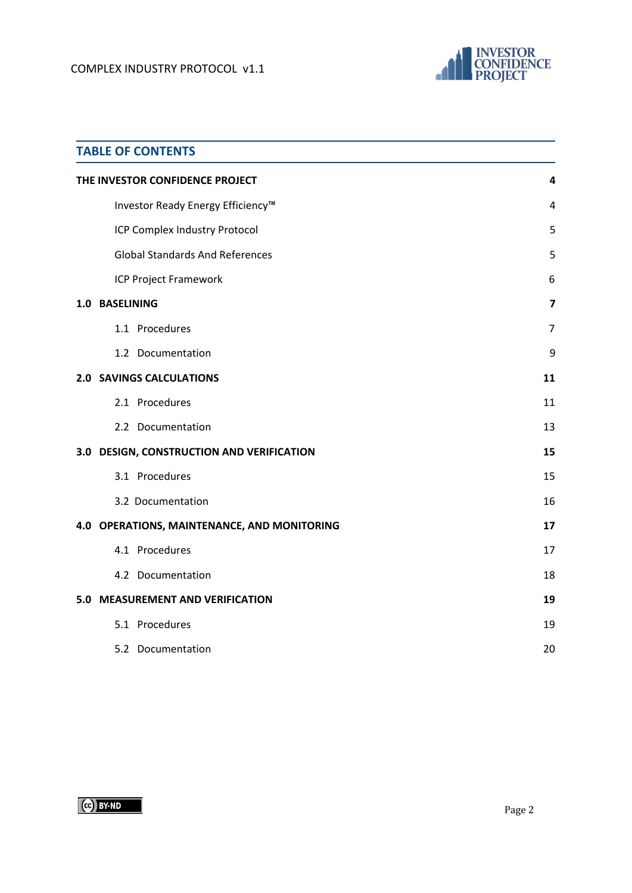

| <b>TABLE OF CONTENTS</b>                    |                |
|---------------------------------------------|----------------|
| THE INVESTOR CONFIDENCE PROJECT             | 4              |
| Investor Ready Energy Efficiency™           | 4              |
| ICP Complex Industry Protocol               | 5              |
| <b>Global Standards And References</b>      | 5              |
| <b>ICP Project Framework</b>                | 6              |
| 1.0 BASELINING                              | $\overline{7}$ |
| 1.1 Procedures                              | $\overline{7}$ |
| 1.2 Documentation                           | 9              |
| <b>2.0 SAVINGS CALCULATIONS</b>             | 11             |
| 2.1 Procedures                              | 11             |
| 2.2 Documentation                           | 13             |
| 3.0 DESIGN, CONSTRUCTION AND VERIFICATION   | 15             |
| 3.1 Procedures                              | 15             |
| 3.2 Documentation                           | 16             |
| 4.0 OPERATIONS, MAINTENANCE, AND MONITORING | 17             |
| 4.1 Procedures                              | 17             |
| 4.2 Documentation                           | 18             |
| 5.0 MEASUREMENT AND VERIFICATION            | 19             |
| 5.1 Procedures                              | 19             |
| 5.2 Documentation                           | 20             |

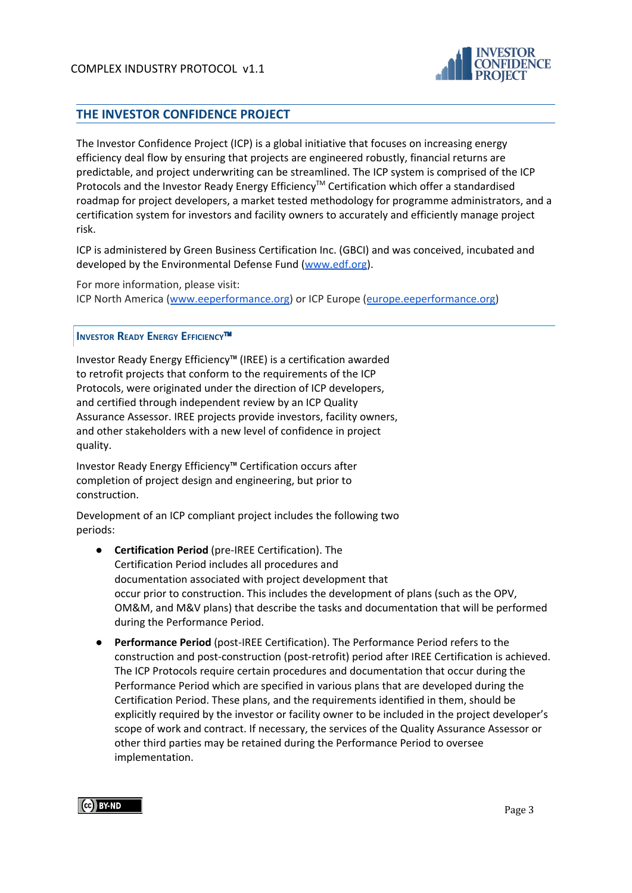

## <span id="page-2-0"></span>**THE INVESTOR CONFIDENCE PROJECT**

The Investor Confidence Project (ICP) is a global initiative that focuses on increasing energy efficiency deal flow by ensuring that projects are engineered robustly, financial returns are predictable, and project underwriting can be streamlined. The ICP system is comprised of the ICP Protocols and the Investor Ready Energy Efficiency<sup>™</sup> Certification which offer a standardised roadmap for project developers, a market tested methodology for programme administrators, and a certification system for investors and facility owners to accurately and efficiently manage project risk.

ICP is administered by Green Business Certification Inc. (GBCI) and was conceived, incubated and developed by the Environmental Defense Fund [\(www.edf.org](http://www.edf.org/)).

For more information, please visit: ICP North America ([www.eeperformance.org](http://www.eeperformance.org/)) or ICP Europe ([europe.eeperformance.org\)](http://europe.eeperformance.org/)

#### <span id="page-2-1"></span>**INVESTOR READY ENERGY EFFICIENCY**™

Investor Ready Energy Efficiency™ (IREE) is a certification awarded to retrofit projects that conform to the requirements of the ICP Protocols, were originated under the direction of ICP developers, and certified through independent review by an ICP Quality Assurance Assessor. IREE projects provide investors, facility owners, and other stakeholders with a new level of confidence in project quality.

Investor Ready Energy Efficiency™ Certification occurs after completion of project design and engineering, but prior to construction.

Development of an ICP compliant project includes the following two periods:

- **Certification Period** (pre-IREE Certification). The Certification Period includes all procedures and documentation associated with project development that occur prior to construction. This includes the development of plans (such as the OPV, OM&M, and M&V plans) that describe the tasks and documentation that will be performed during the Performance Period.
- **Performance Period** (post-IREE Certification). The Performance Period refers to the construction and post-construction (post-retrofit) period after IREE Certification is achieved. The ICP Protocols require certain procedures and documentation that occur during the Performance Period which are specified in various plans that are developed during the Certification Period. These plans, and the requirements identified in them, should be explicitly required by the investor or facility owner to be included in the project developer's scope of work and contract. If necessary, the services of the Quality Assurance Assessor or other third parties may be retained during the Performance Period to oversee implementation.

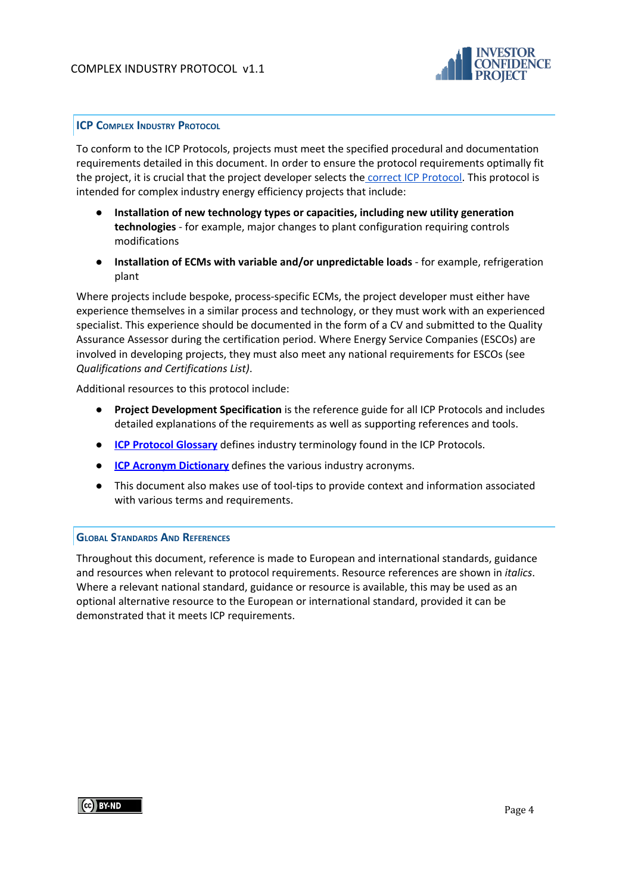

#### <span id="page-3-0"></span>**ICP COMPLEX INDUSTRY PROTOCOL**

To conform to the ICP Protocols, projects must meet the specified procedural and documentation requirements detailed in this document. In order to ensure the protocol requirements optimally fit the project, it is crucial that the project developer selects the correct ICP [Protocol.](http://europe.eeperformance.org/projects.html) This protocol is intended for complex industry energy efficiency projects that include:

- **Installation of new technology types or capacities, including new utility generation technologies** - for example, major changes to plant configuration requiring controls modifications
- **● Installation of ECMs with variable and/or unpredictable loads** for example, refrigeration plant

Where projects include bespoke, process-specific ECMs, the project developer must either have experience themselves in a similar process and technology, or they must work with an experienced specialist. This experience should be documented in the form of a CV and submitted to the Quality Assurance Assessor during the certification period. Where Energy Service Companies (ESCOs) are involved in developing projects, they must also meet any national requirements for ESCOs (see *Qualifications and Certifications List)*.

Additional resources to this protocol include:

- **Project Development Specification** is the reference guide for all ICP Protocols and includes detailed explanations of the requirements as well as supporting references and tools.
- **ICP Protocol [Glossary](https://docs.google.com/a/sevengenergy.com/document/d/1YjnIs-4VfU0T8OBe8O2vA003Vn7k5JQOG2p9Y_34seo/edit?usp=sharing)** defines industry terminology found in the ICP Protocols.
- **ICP Acronym [Dictionary](http://www.eeperformance.org/acronyms.html)** defines the various industry acronyms.
- This document also makes use of tool-tips to provide context and information associated with various terms and requirements.

#### <span id="page-3-1"></span>**GLOBAL STANDARDS AND REFERENCES**

Throughout this document, reference is made to European and international standards, guidance and resources when relevant to protocol requirements. Resource references are shown in *italics*. Where a relevant national standard, guidance or resource is available, this may be used as an optional alternative resource to the European or international standard, provided it can be demonstrated that it meets ICP requirements.

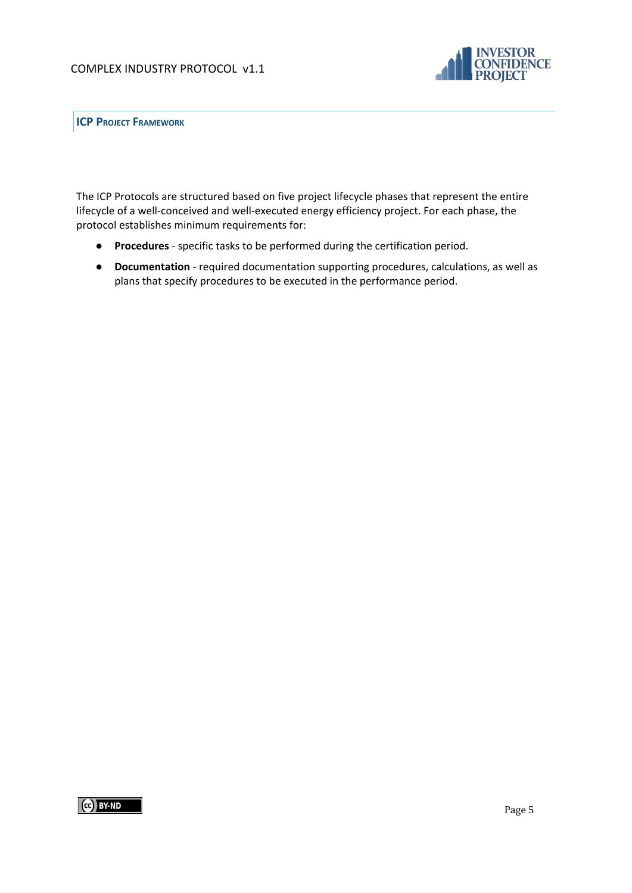

<span id="page-4-0"></span>**ICP PROJECT FRAMEWORK**

The ICP Protocols are structured based on five project lifecycle phases that represent the entire lifecycle of a well-conceived and well-executed energy efficiency project. For each phase, the protocol establishes minimum requirements for:

- **Procedures** specific tasks to be performed during the certification period.
- **Documentation** required documentation supporting procedures, calculations, as well as plans that specify procedures to be executed in the performance period.

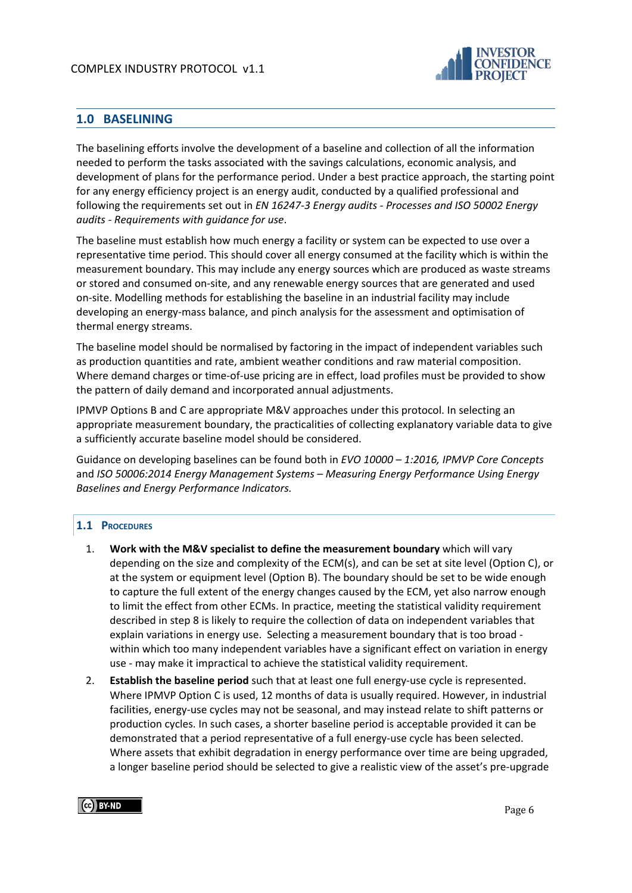

# <span id="page-5-0"></span>**1.0 BASELINING**

The baselining efforts involve the development of a baseline and collection of all the information needed to perform the tasks associated with the savings calculations, economic analysis, and development of plans for the performance period. Under a best practice approach, the starting point for any energy efficiency project is an energy audit, conducted by a qualified professional and following the requirements set out in *EN 16247-3 Energy audits - Processes and ISO 50002 Energy audits - Requirements with guidance for use*.

The baseline must establish how much energy a facility or system can be expected to use over a representative time period. This should cover all energy consumed at the facility which is within the measurement boundary. This may include any energy sources which are produced as waste streams or stored and consumed on-site, and any renewable energy sources that are generated and used on-site. Modelling methods for establishing the baseline in an industrial facility may include developing an energy-mass balance, and pinch analysis for the assessment and optimisation of thermal energy streams.

The baseline model should be normalised by factoring in the impact of independent variables such as production quantities and rate, ambient weather conditions and raw material composition. Where demand charges or time-of-use pricing are in effect, load profiles must be provided to show the pattern of daily demand and incorporated annual adjustments.

IPMVP Options B and C are appropriate M&V approaches under this protocol. In selecting an appropriate measurement boundary, the practicalities of collecting explanatory variable data to give a sufficiently accurate baseline model should be considered.

Guidance on developing baselines can be found both in *EVO 10000 – 1:2016, IPMVP Core Concepts* and *ISO 50006:2014 Energy Management Systems – Measuring Energy Performance Using Energy Baselines and Energy Performance Indicators.*

#### <span id="page-5-1"></span>**1.1 PROCEDURES**

- 1. **Work with the M&V specialist to define the measurement boundary** which will vary depending on the size and complexity of the ECM(s), and can be set at site level (Option C), or at the system or equipment level (Option B). The boundary should be set to be wide enough to capture the full extent of the energy changes caused by the ECM, yet also narrow enough to limit the effect from other ECMs. In practice, meeting the statistical validity requirement described in step 8 is likely to require the collection of data on independent variables that explain variations in energy use. Selecting a measurement boundary that is too broad within which too many independent variables have a significant effect on variation in energy use - may make it impractical to achieve the statistical validity requirement.
- 2. **Establish the baseline period** such that at least one full energy-use cycle is represented. Where IPMVP Option C is used, 12 months of data is usually required. However, in industrial facilities, energy-use cycles may not be seasonal, and may instead relate to shift patterns or production cycles. In such cases, a shorter baseline period is acceptable provided it can be demonstrated that a period representative of a full energy-use cycle has been selected. Where assets that exhibit degradation in energy performance over time are being upgraded, a longer baseline period should be selected to give a realistic view of the asset's pre-upgrade

## CC BY-ND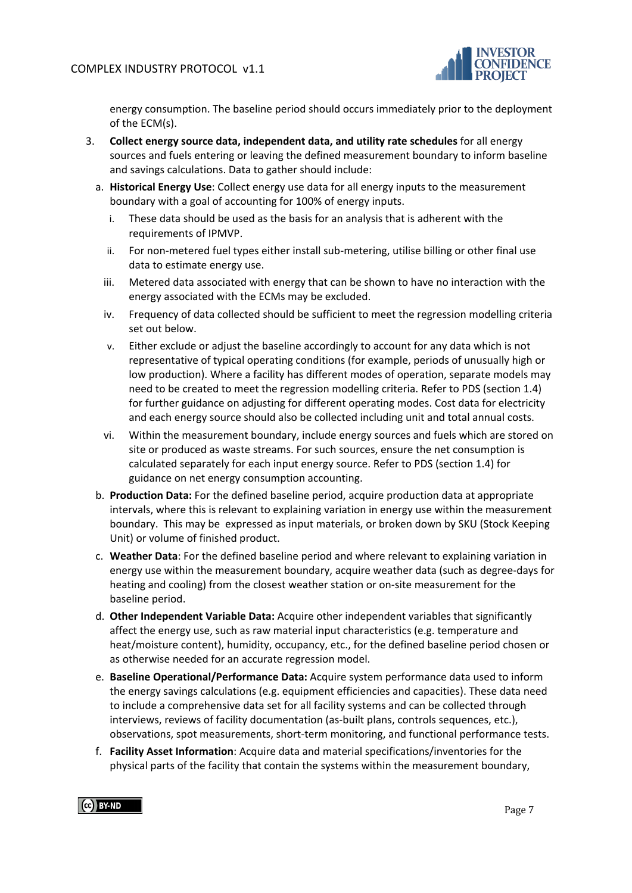

energy consumption. The baseline period should occurs immediately prior to the deployment of the ECM(s).

- 3. **Collect energy source data, independent data, and utility rate schedules** for all energy sources and fuels entering or leaving the defined measurement boundary to inform baseline and savings calculations. Data to gather should include:
	- a. **Historical Energy Use**: Collect energy use data for all energy inputs to the measurement boundary with a goal of accounting for 100% of energy inputs.
		- i. These data should be used as the basis for an analysis that is adherent with the requirements of IPMVP.
		- ii. For non-metered fuel types either install sub-metering, utilise billing or other final use data to estimate energy use.
		- iii. Metered data associated with energy that can be shown to have no interaction with the energy associated with the ECMs may be excluded.
		- iv. Frequency of data collected should be sufficient to meet the regression modelling criteria set out below.
		- v. Either exclude or adjust the baseline accordingly to account for any data which is not representative of typical operating conditions (for example, periods of unusually high or low production). Where a facility has different modes of operation, separate models may need to be created to meet the regression modelling criteria. Refer to PDS (section 1.4) for further guidance on adjusting for different operating modes. Cost data for electricity and each energy source should also be collected including unit and total annual costs.
		- vi. Within the measurement boundary, include energy sources and fuels which are stored on site or produced as waste streams. For such sources, ensure the net consumption is calculated separately for each input energy source. Refer to PDS (section 1.4) for guidance on net energy consumption accounting.
	- b. **Production Data:** For the defined baseline period, acquire production data at appropriate intervals, where this is relevant to explaining variation in energy use within the measurement boundary. This may be expressed as input materials, or broken down by SKU (Stock Keeping Unit) or volume of finished product.
	- c. **Weather Data**: For the defined baseline period and where relevant to explaining variation in energy use within the measurement boundary, acquire weather data (such as degree-days for heating and cooling) from the closest weather station or on-site measurement for the baseline period.
	- d. **Other Independent Variable Data:** Acquire other independent variables that significantly affect the energy use, such as raw material input characteristics (e.g. temperature and heat/moisture content), humidity, occupancy, etc., for the defined baseline period chosen or as otherwise needed for an accurate regression model.
	- e. **Baseline Operational/Performance Data:** Acquire system performance data used to inform the energy savings calculations (e.g. equipment efficiencies and capacities). These data need to include a comprehensive data set for all facility systems and can be collected through interviews, reviews of facility documentation (as-built plans, controls sequences, etc.), observations, spot measurements, short-term monitoring, and functional performance tests.
	- f. **Facility Asset Information**: Acquire data and material specifications/inventories for the physical parts of the facility that contain the systems within the measurement boundary,

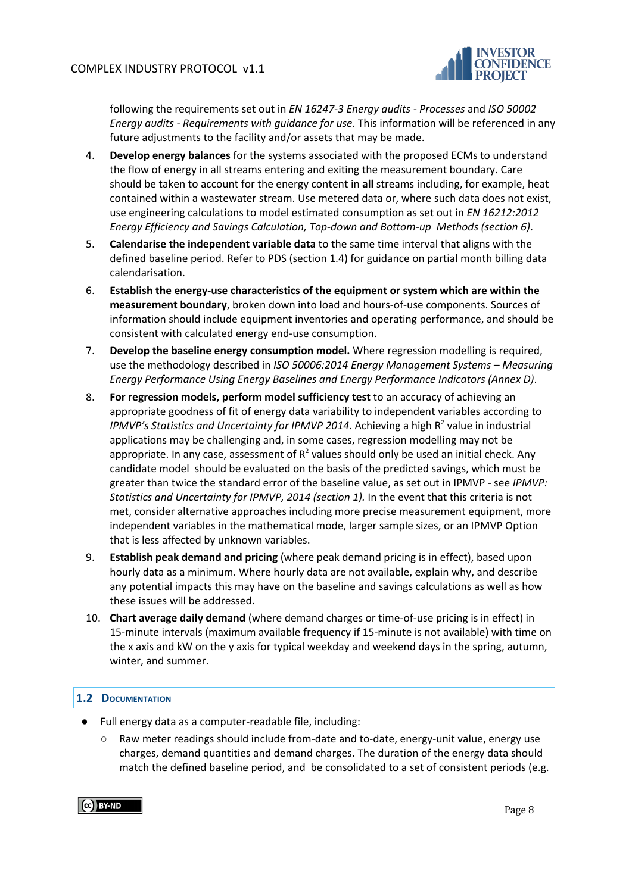

following the requirements set out in *EN 16247-3 Energy audits - Processes* and *ISO 50002 Energy audits - Requirements with guidance for use*. This information will be referenced in any future adjustments to the facility and/or assets that may be made.

- 4. **Develop energy balances** for the systems associated with the proposed ECMs to understand the flow of energy in all streams entering and exiting the measurement boundary. Care should be taken to account for the energy content in **all** streams including, for example, heat contained within a wastewater stream. Use metered data or, where such data does not exist, use engineering calculations to model estimated consumption as set out in *EN 16212:2012 Energy Efficiency and Savings Calculation, Top-down and Bottom-up Methods (section 6)*.
- 5. **Calendarise the independent variable data** to the same time interval that aligns with the defined baseline period. Refer to PDS (section 1.4) for guidance on partial month billing data calendarisation.
- 6. **Establish the energy-use characteristics of the equipment or system which are within the measurement boundary**, broken down into load and hours-of-use components. Sources of information should include equipment inventories and operating performance, and should be consistent with calculated energy end-use consumption.
- 7. **Develop the baseline energy consumption model.** Where regression modelling is required, use the methodology described in *ISO 50006:2014 Energy Management Systems – Measuring Energy Performance Using Energy Baselines and Energy Performance Indicators (Annex D)*.
- 8. **For regression models, perform model sufficiency test** to an accuracy of achieving an appropriate goodness of fit of energy data variability to independent variables according to *IPMVP's Statistics and Uncertainty for IPMVP 2014*. Achieving a high R <sup>2</sup> value in industrial applications may be challenging and, in some cases, regression modelling may not be appropriate. In any case, assessment of  $R^2$  values should only be used an initial check. Any candidate model should be evaluated on the basis of the predicted savings, which must be greater than twice the standard error of the baseline value, as set out in IPMVP - see *IPMVP: Statistics and Uncertainty for IPMVP, 2014 (section 1).* In the event that this criteria is not met, consider alternative approaches including more precise measurement equipment, more independent variables in the mathematical mode, larger sample sizes, or an IPMVP Option that is less affected by unknown variables.
- 9. **Establish peak demand and pricing** (where peak demand pricing is in effect), based upon hourly data as a minimum. Where hourly data are not available, explain why, and describe any potential impacts this may have on the baseline and savings calculations as well as how these issues will be addressed.
- 10. **Chart average daily demand** (where demand charges or time-of-use pricing is in effect) in 15-minute intervals (maximum available frequency if 15-minute is not available) with time on the x axis and kW on the y axis for typical weekday and weekend days in the spring, autumn, winter, and summer.

## <span id="page-7-0"></span>**1.2 DOCUMENTATION**

- Full energy data as a computer-readable file, including:
	- Raw meter readings should include from-date and to-date, energy-unit value, energy use charges, demand quantities and demand charges. The duration of the energy data should match the defined baseline period, and be consolidated to a set of consistent periods (e.g.

(cc) BY-ND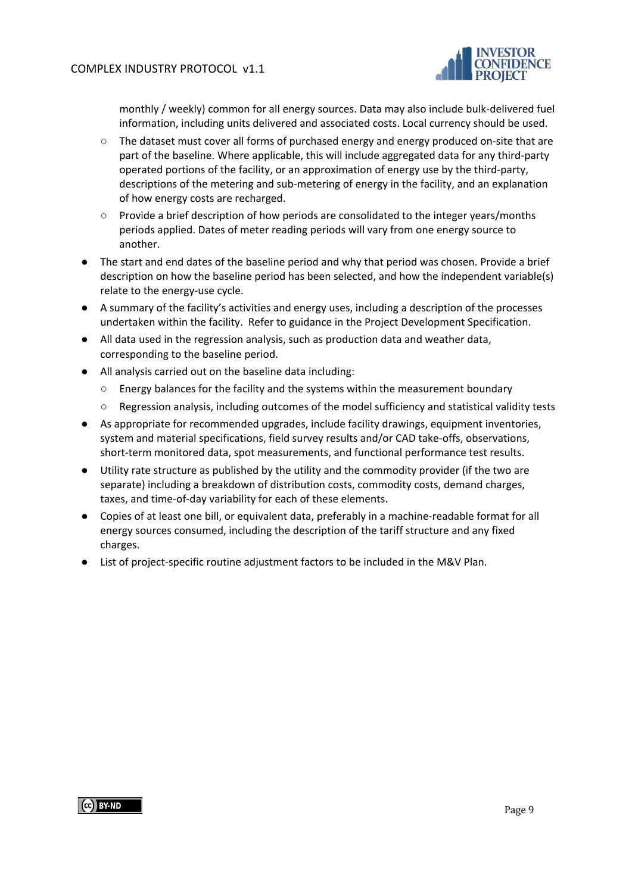

monthly / weekly) common for all energy sources. Data may also include bulk-delivered fuel information, including units delivered and associated costs. Local currency should be used.

- The dataset must cover all forms of purchased energy and energy produced on-site that are part of the baseline. Where applicable, this will include aggregated data for any third-party operated portions of the facility, or an approximation of energy use by the third-party, descriptions of the metering and sub-metering of energy in the facility, and an explanation of how energy costs are recharged.
- Provide a brief description of how periods are consolidated to the integer years/months periods applied. Dates of meter reading periods will vary from one energy source to another.
- The start and end dates of the baseline period and why that period was chosen. Provide a brief description on how the baseline period has been selected, and how the independent variable(s) relate to the energy-use cycle.
- A summary of the facility's activities and energy uses, including a description of the processes undertaken within the facility. Refer to guidance in the Project Development Specification.
- All data used in the regression analysis, such as production data and weather data, corresponding to the baseline period.
- All analysis carried out on the baseline data including:
	- Energy balances for the facility and the systems within the measurement boundary
	- Regression analysis, including outcomes of the model sufficiency and statistical validity tests
- As appropriate for recommended upgrades, include facility drawings, equipment inventories, system and material specifications, field survey results and/or CAD take-offs, observations, short-term monitored data, spot measurements, and functional performance test results.
- Utility rate structure as published by the utility and the commodity provider (if the two are separate) including a breakdown of distribution costs, commodity costs, demand charges, taxes, and time-of-day variability for each of these elements.
- Copies of at least one bill, or equivalent data, preferably in a machine-readable format for all energy sources consumed, including the description of the tariff structure and any fixed charges.
- List of project-specific routine adjustment factors to be included in the M&V Plan.

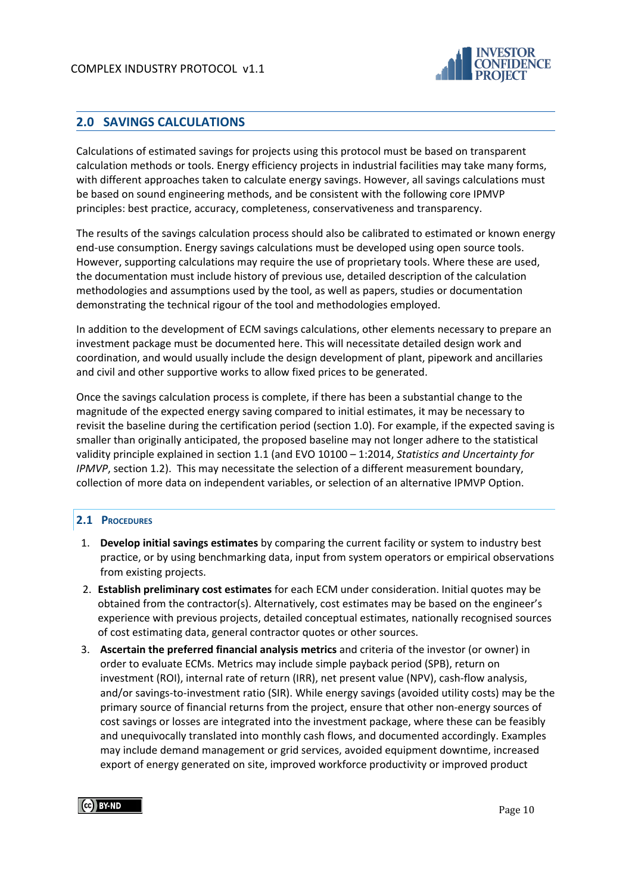

# <span id="page-9-0"></span>**2.0 SAVINGS CALCULATIONS**

Calculations of estimated savings for projects using this protocol must be based on transparent calculation methods or tools. Energy efficiency projects in industrial facilities may take many forms, with different approaches taken to calculate energy savings. However, all savings calculations must be based on sound engineering methods, and be consistent with the following core IPMVP principles: best practice, accuracy, completeness, conservativeness and transparency.

The results of the savings calculation process should also be calibrated to estimated or known energy end-use consumption. Energy savings calculations must be developed using open source tools. However, supporting calculations may require the use of proprietary tools. Where these are used, the documentation must include history of previous use, detailed description of the calculation methodologies and assumptions used by the tool, as well as papers, studies or documentation demonstrating the technical rigour of the tool and methodologies employed.

In addition to the development of ECM savings calculations, other elements necessary to prepare an investment package must be documented here. This will necessitate detailed design work and coordination, and would usually include the design development of plant, pipework and ancillaries and civil and other supportive works to allow fixed prices to be generated.

Once the savings calculation process is complete, if there has been a substantial change to the magnitude of the expected energy saving compared to initial estimates, it may be necessary to revisit the baseline during the certification period (section 1.0). For example, if the expected saving is smaller than originally anticipated, the proposed baseline may not longer adhere to the statistical validity principle explained in section 1.1 (and EVO 10100 – 1:2014, *Statistics and Uncertainty for IPMVP*, section 1.2). This may necessitate the selection of a different measurement boundary, collection of more data on independent variables, or selection of an alternative IPMVP Option.

## <span id="page-9-1"></span>**2.1 PROCEDURES**

- 1. **Develop initial savings estimates** by comparing the current facility or system to industry best practice, or by using benchmarking data, input from system operators or empirical observations from existing projects.
- 2. **Establish preliminary cost estimates** for each ECM under consideration. Initial quotes may be obtained from the contractor(s). Alternatively, cost estimates may be based on the engineer's experience with previous projects, detailed conceptual estimates, nationally recognised sources of cost estimating data, general contractor quotes or other sources.
- 3. **Ascertain the preferred financial analysis metrics** and criteria of the investor (or owner) in order to evaluate ECMs. Metrics may include simple payback period (SPB), return on investment (ROI), internal rate of return (IRR), net present value (NPV), cash-flow analysis, and/or savings-to-investment ratio (SIR). While energy savings (avoided utility costs) may be the primary source of financial returns from the project, ensure that other non-energy sources of cost savings or losses are integrated into the investment package, where these can be feasibly and unequivocally translated into monthly cash flows, and documented accordingly. Examples may include demand management or grid services, avoided equipment downtime, increased export of energy generated on site, improved workforce productivity or improved product

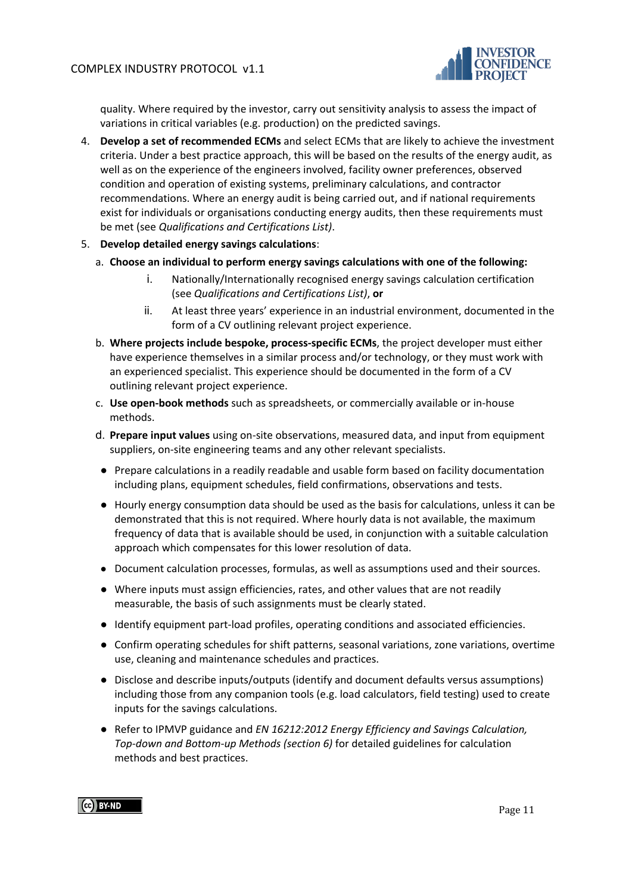

quality. Where required by the investor, carry out sensitivity analysis to assess the impact of variations in critical variables (e.g. production) on the predicted savings.

- 4. **Develop a set of recommended ECMs** and select ECMs that are likely to achieve the investment criteria. Under a best practice approach, this will be based on the results of the energy audit, as well as on the experience of the engineers involved, facility owner preferences, observed condition and operation of existing systems, preliminary calculations, and contractor recommendations. Where an energy audit is being carried out, and if national requirements exist for individuals or organisations conducting energy audits, then these requirements must be met (see *Qualifications and Certifications List)*.
- 5. **Develop detailed energy savings calculations**:
	- a. **Choose an individual to perform energy savings calculations with one of the following:**
		- i. Nationally/Internationally recognised energy savings calculation certification (see *Qualifications and Certifications List)*, **or**
		- ii. At least three years' experience in an industrial environment, documented in the form of a CV outlining relevant project experience.
	- b. **Where projects include bespoke, process-specific ECMs**, the project developer must either have experience themselves in a similar process and/or technology, or they must work with an experienced specialist. This experience should be documented in the form of a CV outlining relevant project experience.
	- c. **Use open-book methods** such as spreadsheets, or commercially available or in-house methods.
	- d. **Prepare input values** using on-site observations, measured data, and input from equipment suppliers, on-site engineering teams and any other relevant specialists.
	- Prepare calculations in a readily readable and usable form based on facility documentation including plans, equipment schedules, field confirmations, observations and tests.
	- Hourly energy consumption data should be used as the basis for calculations, unless it can be demonstrated that this is not required. Where hourly data is not available, the maximum frequency of data that is available should be used, in conjunction with a suitable calculation approach which compensates for this lower resolution of data.
	- Document calculation processes, formulas, as well as assumptions used and their sources.
	- Where inputs must assign efficiencies, rates, and other values that are not readily measurable, the basis of such assignments must be clearly stated.
	- Identify equipment part-load profiles, operating conditions and associated efficiencies.
	- Confirm operating schedules for shift patterns, seasonal variations, zone variations, overtime use, cleaning and maintenance schedules and practices.
	- Disclose and describe inputs/outputs (identify and document defaults versus assumptions) including those from any companion tools (e.g. load calculators, field testing) used to create inputs for the savings calculations.
	- Refer to IPMVP guidance and *EN 16212:2012 Energy Efficiency and Savings Calculation, Top-down and Bottom-up Methods (section 6)* for detailed guidelines for calculation methods and best practices.

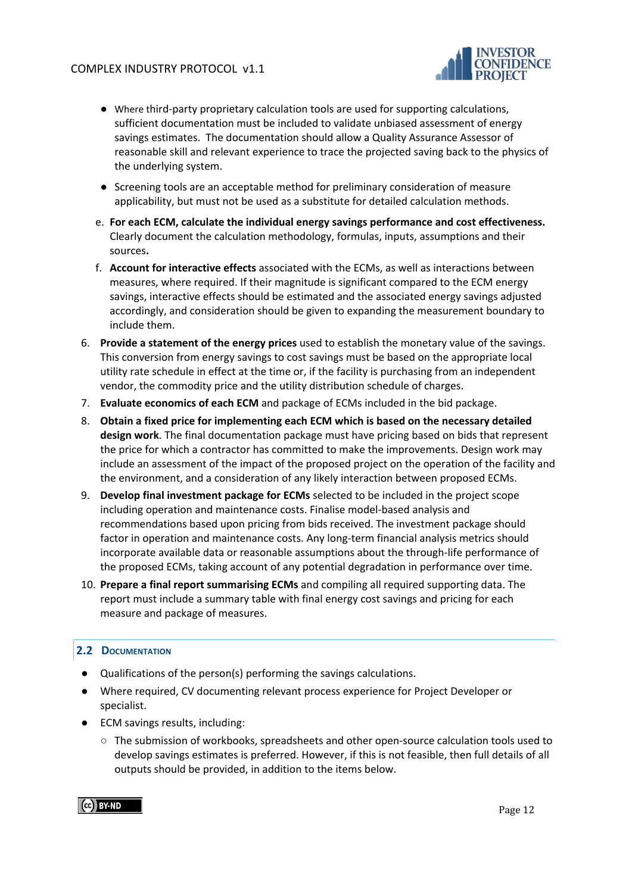

- Where third-party proprietary calculation tools are used for supporting calculations, sufficient documentation must be included to validate unbiased assessment of energy savings estimates. The documentation should allow a Quality Assurance Assessor of reasonable skill and relevant experience to trace the projected saving back to the physics of the underlying system.
- Screening tools are an acceptable method for preliminary consideration of measure applicability, but must not be used as a substitute for detailed calculation methods.
- e. **For each ECM, calculate the individual energy savings performance and cost effectiveness.** Clearly document the calculation methodology, formulas, inputs, assumptions and their sources**.**
- f. **Account for interactive effects** associated with the ECMs, as well as interactions between measures, where required. If their magnitude is significant compared to the ECM energy savings, interactive effects should be estimated and the associated energy savings adjusted accordingly, and consideration should be given to expanding the measurement boundary to include them.
- 6. **Provide a statement of the energy prices** used to establish the monetary value of the savings. This conversion from energy savings to cost savings must be based on the appropriate local utility rate schedule in effect at the time or, if the facility is purchasing from an independent vendor, the commodity price and the utility distribution schedule of charges.
- 7. **Evaluate economics of each ECM** and package of ECMs included in the bid package.
- 8. **Obtain a fixed price for implementing each ECM which is based on the necessary detailed design work**. The final documentation package must have pricing based on bids that represent the price for which a contractor has committed to make the improvements. Design work may include an assessment of the impact of the proposed project on the operation of the facility and the environment, and a consideration of any likely interaction between proposed ECMs.
- 9. **Develop final investment package for ECMs** selected to be included in the project scope including operation and maintenance costs. Finalise model-based analysis and recommendations based upon pricing from bids received. The investment package should factor in operation and maintenance costs. Any long-term financial analysis metrics should incorporate available data or reasonable assumptions about the through-life performance of the proposed ECMs, taking account of any potential degradation in performance over time.
- 10. **Prepare a final report summarising ECMs** and compiling all required supporting data. The report must include a summary table with final energy cost savings and pricing for each measure and package of measures.

## <span id="page-11-0"></span>**2.2 DOCUMENTATION**

- Qualifications of the person(s) performing the savings calculations.
- Where required, CV documenting relevant process experience for Project Developer or specialist.
- ECM savings results, including:
	- $\circ$  The submission of workbooks, spreadsheets and other open-source calculation tools used to develop savings estimates is preferred. However, if this is not feasible, then full details of all outputs should be provided, in addition to the items below.

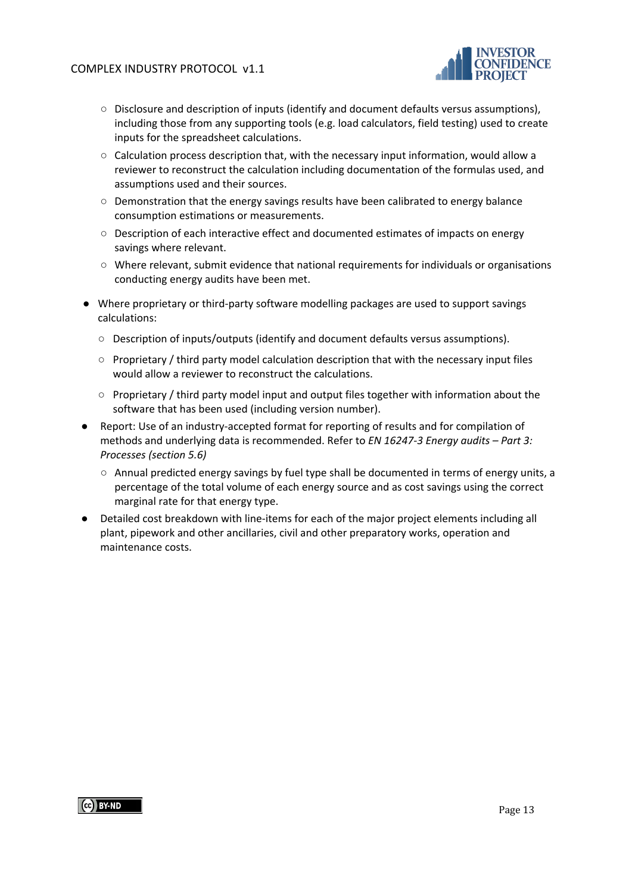

- Disclosure and description of inputs (identify and document defaults versus assumptions), including those from any supporting tools (e.g. load calculators, field testing) used to create inputs for the spreadsheet calculations.
- Calculation process description that, with the necessary input information, would allow a reviewer to reconstruct the calculation including documentation of the formulas used, and assumptions used and their sources.
- Demonstration that the energy savings results have been calibrated to energy balance consumption estimations or measurements.
- Description of each interactive effect and documented estimates of impacts on energy savings where relevant.
- Where relevant, submit evidence that national requirements for individuals or organisations conducting energy audits have been met.
- Where proprietary or third-party software modelling packages are used to support savings calculations:
	- Description of inputs/outputs (identify and document defaults versus assumptions).
	- Proprietary / third party model calculation description that with the necessary input files would allow a reviewer to reconstruct the calculations.
	- Proprietary / third party model input and output files together with information about the software that has been used (including version number).
- Report: Use of an industry-accepted format for reporting of results and for compilation of methods and underlying data is recommended. Refer to *EN 16247-3 Energy audits – Part 3: Processes (section 5.6)*
	- $\circ$  Annual predicted energy savings by fuel type shall be documented in terms of energy units, a percentage of the total volume of each energy source and as cost savings using the correct marginal rate for that energy type.
- Detailed cost breakdown with line-items for each of the major project elements including all plant, pipework and other ancillaries, civil and other preparatory works, operation and maintenance costs.

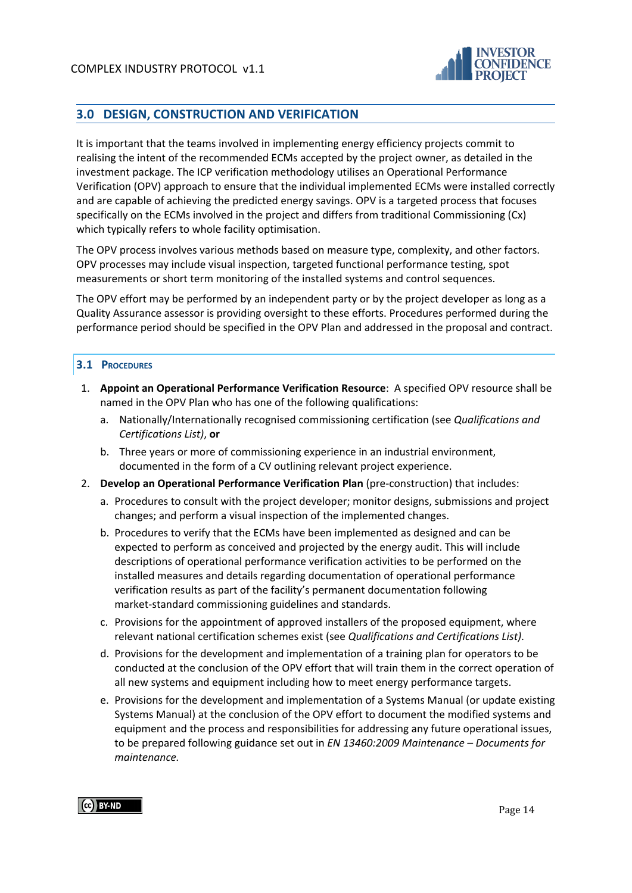

# <span id="page-13-0"></span>**3.0 DESIGN, CONSTRUCTION AND VERIFICATION**

It is important that the teams involved in implementing energy efficiency projects commit to realising the intent of the recommended ECMs accepted by the project owner, as detailed in the investment package. The ICP verification methodology utilises an Operational Performance Verification (OPV) approach to ensure that the individual implemented ECMs were installed correctly and are capable of achieving the predicted energy savings. OPV is a targeted process that focuses specifically on the ECMs involved in the project and differs from traditional Commissioning (Cx) which typically refers to whole facility optimisation.

The OPV process involves various methods based on measure type, complexity, and other factors. OPV processes may include visual inspection, targeted functional performance testing, spot measurements or short term monitoring of the installed systems and control sequences.

The OPV effort may be performed by an independent party or by the project developer as long as a Quality Assurance assessor is providing oversight to these efforts. Procedures performed during the performance period should be specified in the OPV Plan and addressed in the proposal and contract.

#### <span id="page-13-1"></span>**3.1 PROCEDURES**

- 1. **Appoint an Operational Performance Verification Resource**: A specified OPV resource shall be named in the OPV Plan who has one of the following qualifications:
	- a. Nationally/Internationally recognised commissioning certification (see *Qualifications and Certifications List)*, **or**
	- b. Three years or more of commissioning experience in an industrial environment, documented in the form of a CV outlining relevant project experience.
- 2. **Develop an Operational Performance Verification Plan** (pre-construction) that includes:
	- a. Procedures to consult with the project developer; monitor designs, submissions and project changes; and perform a visual inspection of the implemented changes.
	- b. Procedures to verify that the ECMs have been implemented as designed and can be expected to perform as conceived and projected by the energy audit. This will include descriptions of operational performance verification activities to be performed on the installed measures and details regarding documentation of operational performance verification results as part of the facility's permanent documentation following market-standard commissioning guidelines and standards.
	- c. Provisions for the appointment of approved installers of the proposed equipment, where relevant national certification schemes exist (see *Qualifications and Certifications List)*.
	- d. Provisions for the development and implementation of a training plan for operators to be conducted at the conclusion of the OPV effort that will train them in the correct operation of all new systems and equipment including how to meet energy performance targets.
	- e. Provisions for the development and implementation of a Systems Manual (or update existing Systems Manual) at the conclusion of the OPV effort to document the modified systems and equipment and the process and responsibilities for addressing any future operational issues, to be prepared following guidance set out i[n](http://www.techstreet.com/products/1852923?product_id=1852923&sid=goog&gclid=CNzIydS08bYCFaaDQgodij0AvA) *EN 13460:2009 Maintenance – Documents for maintenance.*

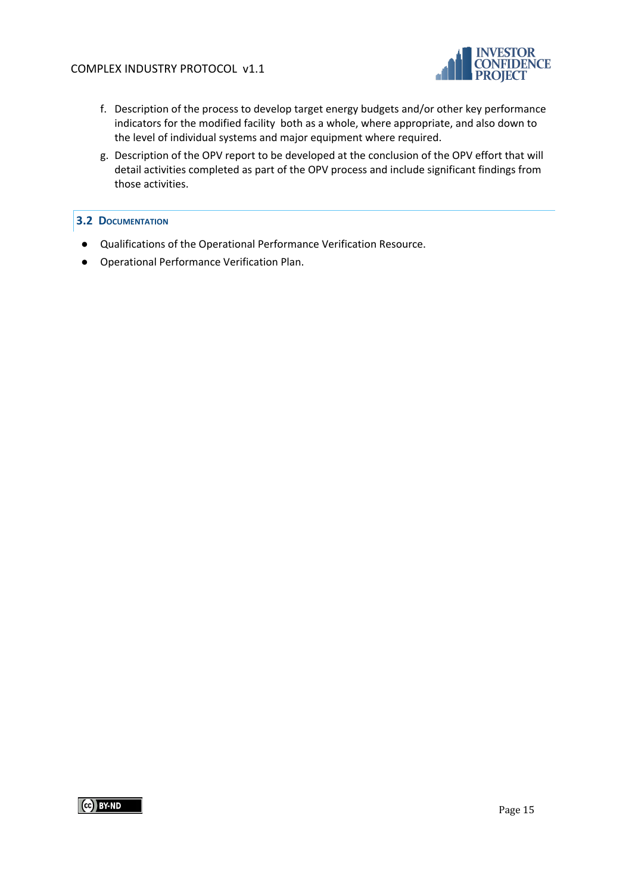

- f. Description of the process to develop target energy budgets and/or other key performance indicators for the modified facility both as a whole, where appropriate, and also down to the level of individual systems and major equipment where required.
- g. Description of the OPV report to be developed at the conclusion of the OPV effort that will detail activities completed as part of the OPV process and include significant findings from those activities.

#### <span id="page-14-0"></span>**3.2 DOCUMENTATION**

- Qualifications of the Operational Performance Verification Resource.
- Operational Performance Verification Plan.

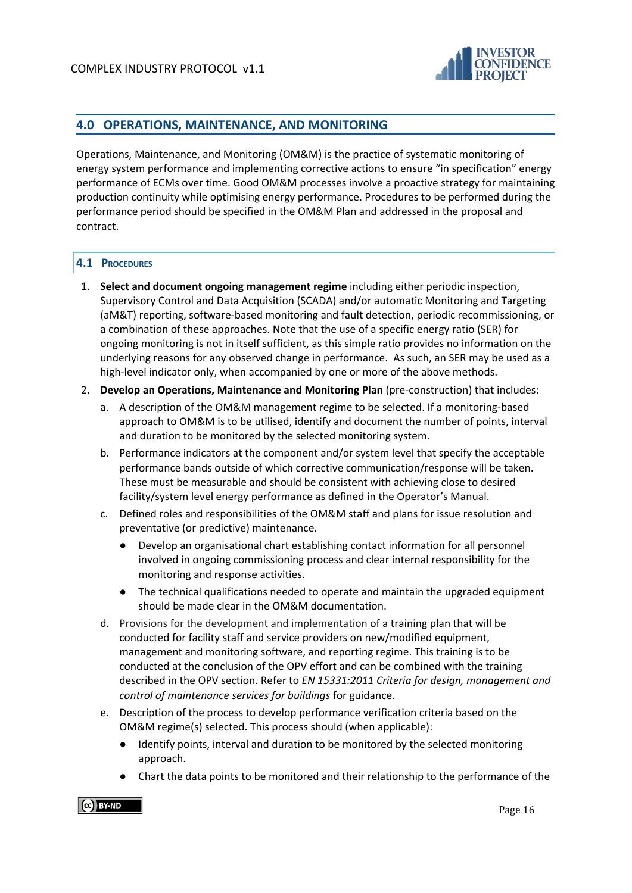

# <span id="page-15-0"></span>**4.0 OPERATIONS, MAINTENANCE, AND MONITORING**

Operations, Maintenance, and Monitoring (OM&M) is the practice of systematic monitoring of energy system performance and implementing corrective actions to ensure "in specification" energy performance of ECMs over time. Good OM&M processes involve a proactive strategy for maintaining production continuity while optimising energy performance. Procedures to be performed during the performance period should be specified in the OM&M Plan and addressed in the proposal and contract.

#### <span id="page-15-1"></span>**4.1 PROCEDURES**

- 1. **Select and document ongoing management regime** including either periodic inspection, Supervisory Control and Data Acquisition (SCADA) and/or automatic Monitoring and Targeting (aM&T) reporting, software-based monitoring and fault detection, periodic recommissioning, or a combination of these approaches. Note that the use of a specific energy ratio (SER) for ongoing monitoring is not in itself sufficient, as this simple ratio provides no information on the underlying reasons for any observed change in performance. As such, an SER may be used as a high-level indicator only, when accompanied by one or more of the above methods.
- 2. **Develop an Operations, Maintenance and Monitoring Plan** (pre-construction) that includes:
	- a. A description of the OM&M management regime to be selected. If a monitoring-based approach to OM&M is to be utilised, identify and document the number of points, interval and duration to be monitored by the selected monitoring system.
	- b. Performance indicators at the component and/or system level that specify the acceptable performance bands outside of which corrective communication/response will be taken. These must be measurable and should be consistent with achieving close to desired facility/system level energy performance as defined in the Operator's Manual.
	- c. Defined roles and responsibilities of the OM&M staff and plans for issue resolution and preventative (or predictive) maintenance.
		- Develop an organisational chart establishing contact information for all personnel involved in ongoing commissioning process and clear internal responsibility for the monitoring and response activities.
		- The technical qualifications needed to operate and maintain the upgraded equipment should be made clear in the OM&M documentation.
	- d. Provisions for the development and implementation of a training plan that will be conducted for facility staff and service providers on new/modified equipment, management and monitoring software, and reporting regime. This training is to be conducted at the conclusion of the OPV effort and can be combined with the training described in the OPV section. Refer to *EN 15331:2011 Criteria for design, management and control of maintenance services for buildings* for guidance.
	- e. Description of the process to develop performance verification criteria based on the OM&M regime(s) selected. This process should (when applicable):
		- Identify points, interval and duration to be monitored by the selected monitoring approach.
		- Chart the data points to be monitored and their relationship to the performance of the

CC BY-ND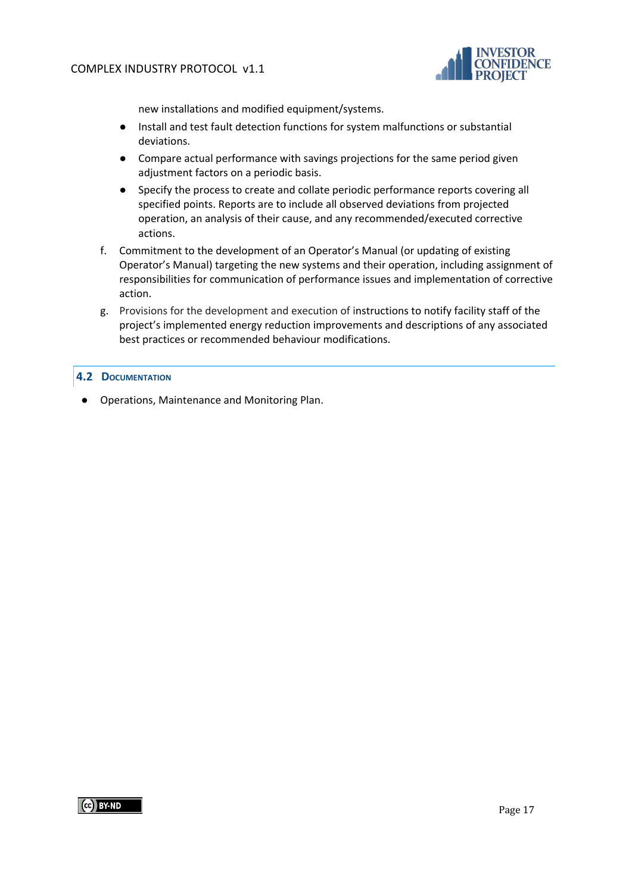

new installations and modified equipment/systems.

- Install and test fault detection functions for system malfunctions or substantial deviations.
- Compare actual performance with savings projections for the same period given adjustment factors on a periodic basis.
- Specify the process to create and collate periodic performance reports covering all specified points. Reports are to include all observed deviations from projected operation, an analysis of their cause, and any recommended/executed corrective actions.
- f. Commitment to the development of an Operator's Manual (or updating of existing Operator's Manual) targeting the new systems and their operation, including assignment of responsibilities for communication of performance issues and implementation of corrective action.
- g. Provisions for the development and execution of instructions to notify facility staff of the project's implemented energy reduction improvements and descriptions of any associated best practices or recommended behaviour modifications.

## <span id="page-16-0"></span>**4.2 DOCUMENTATION**

● Operations, Maintenance and Monitoring Plan.

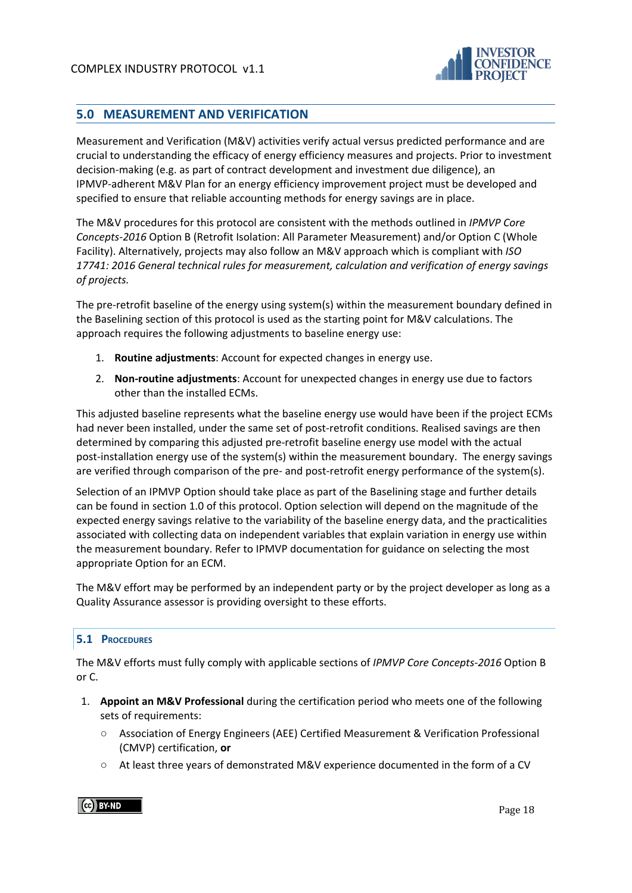

# <span id="page-17-0"></span>**5.0 MEASUREMENT AND VERIFICATION**

Measurement and Verification (M&V) activities verify actual versus predicted performance and are crucial to understanding the efficacy of energy efficiency measures and projects. Prior to investment decision-making (e.g. as part of contract development and investment due diligence), an IPMVP-adherent M&V Plan for an energy efficiency improvement project must be developed and specified to ensure that reliable accounting methods for energy savings are in place.

The M&V procedures for this protocol are consistent with the methods outlined in *IPMVP Core Concepts-2016* Option B (Retrofit Isolation: All Parameter Measurement) and/or Option C (Whole Facility). Alternatively, projects may also follow an M&V approach which is compliant with *ISO 17741: 2016 General technical rules for measurement, calculation and verification of energy savings of projects.*

The pre-retrofit baseline of the energy using system(s) within the measurement boundary defined in the Baselining section of this protocol is used as the starting point for M&V calculations. The approach requires the following adjustments to baseline energy use:

- 1. **Routine adjustments**: Account for expected changes in energy use.
- 2. **Non-routine adjustments**: Account for unexpected changes in energy use due to factors other than the installed ECMs.

This adjusted baseline represents what the baseline energy use would have been if the project ECMs had never been installed, under the same set of post-retrofit conditions. Realised savings are then determined by comparing this adjusted pre-retrofit baseline energy use model with the actual post-installation energy use of the system(s) within the measurement boundary. The energy savings are verified through comparison of the pre- and post-retrofit energy performance of the system(s).

Selection of an IPMVP Option should take place as part of the Baselining stage and further details can be found in section 1.0 of this protocol. Option selection will depend on the magnitude of the expected energy savings relative to the variability of the baseline energy data, and the practicalities associated with collecting data on independent variables that explain variation in energy use within the measurement boundary. Refer to IPMVP documentation for guidance on selecting the most appropriate Option for an ECM.

The M&V effort may be performed by an independent party or by the project developer as long as a Quality Assurance assessor is providing oversight to these efforts.

## <span id="page-17-1"></span>**5.1 PROCEDURES**

The M&V efforts must fully comply with applicable sections of *IPMVP Core Concepts-2016* Option B or C.

- 1. **Appoint an M&V Professional** during the certification period who meets one of the following sets of requirements:
	- Association of Energy Engineers (AEE) Certified Measurement & Verification Professional (CMVP) certification, **or**
	- At least three years of demonstrated M&V experience documented in the form of a CV